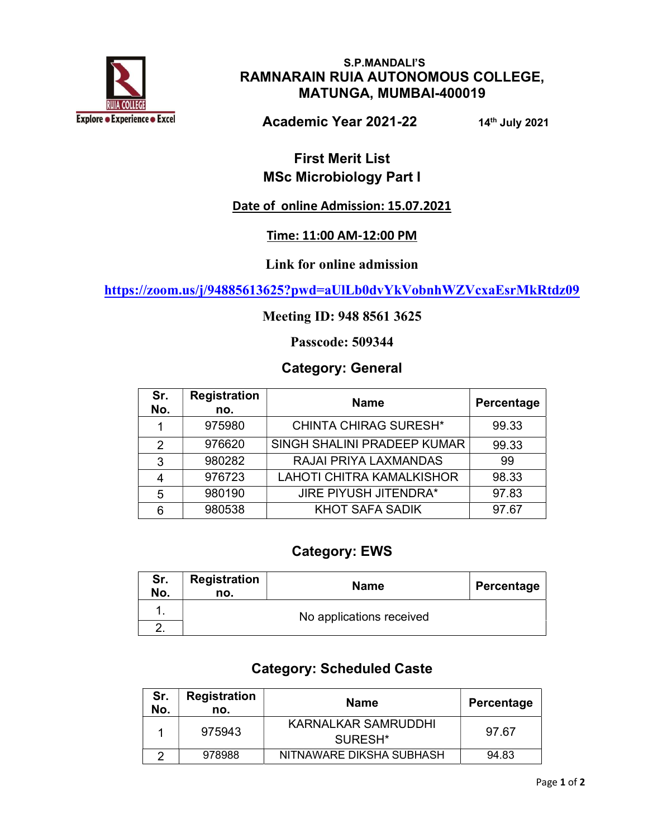

S.P.MANDALI'S RAMNARAIN RUIA AUTONOMOUS COLLEGE, MATUNGA, MUMBAI-400019

Academic Year 2021-22 14th July 2021

## First Merit List MSc Microbiology Part I

## Date of online Admission: 15.07.2021

#### Time: 11:00 AM-12:00 PM

#### Link for online admission

https://zoom.us/j/94885613625?pwd=aUlLb0dvYkVobnhWZVcxaEsrMkRtdz09

#### Meeting ID: 948 8561 3625

Passcode: 509344

#### Category: General

| Sr.<br>No. | <b>Registration</b><br>no. | <b>Name</b>                      | Percentage |
|------------|----------------------------|----------------------------------|------------|
|            | 975980                     | <b>CHINTA CHIRAG SURESH*</b>     | 99.33      |
| 2          | 976620                     | SINGH SHALINI PRADEEP KUMAR      | 99.33      |
| 3          | 980282                     | RAJAI PRIYA LAXMANDAS            | 99         |
| 4          | 976723                     | <b>LAHOTI CHITRA KAMALKISHOR</b> | 98.33      |
| 5          | 980190                     | <b>JIRE PIYUSH JITENDRA*</b>     | 97.83      |
| 6          | 980538                     | <b>KHOT SAFA SADIK</b>           | 97.67      |

### Category: EWS

| Sr.<br>No. | <b>Registration</b><br>no. | <b>Name</b> | Percentage |
|------------|----------------------------|-------------|------------|
|            | No applications received   |             |            |
|            |                            |             |            |

### Category: Scheduled Caste

| Sr.<br>No. | <b>Registration</b><br>no. | <b>Name</b>                                | Percentage |
|------------|----------------------------|--------------------------------------------|------------|
|            | 975943                     | KARNALKAR SAMRUDDHI<br>SURESH <sup>*</sup> | 97.67      |
|            | 978988                     | NITNAWARE DIKSHA SUBHASH                   | 94.83      |